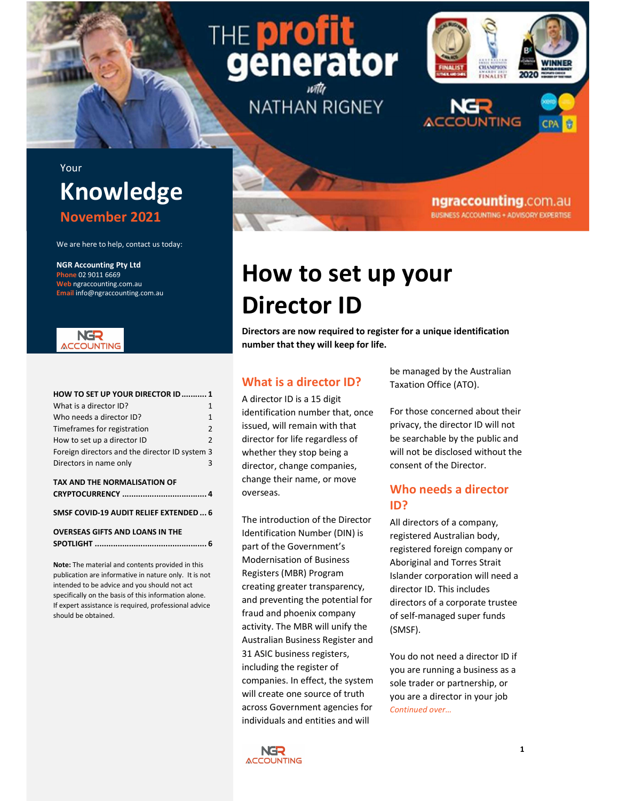# $91$ THE erator

**NATHAN RIGNEY** 

# **TEAMPION**  $2020$ FINALIST **CPA**

ngraccounting.com.au **BUSINESS ACCOUNTING + ADVISORY EXPERTISE** 

# Your Knowledge November 2021

We are here to help, contact us today:

NGR Accounting Pty Ltd Phone 02 9011 6669 Web ngraccounting.com.au Email info@ngraccounting.com.au



| What is a director ID?<br>$\mathbf{1}$<br>Who needs a director ID?<br>$\mathbf{1}$<br>Timeframes for registration<br>2<br>How to set up a director ID<br>2<br>Foreign directors and the director ID system 3<br>Directors in name only<br>3 | For those cond<br>identification number that, once<br>privacy, the di<br>issued, will remain with that<br>be searchable<br>director for life regardless of<br>will not be disc<br>whether they stop being a<br>consent of the<br>director, change companies, |
|---------------------------------------------------------------------------------------------------------------------------------------------------------------------------------------------------------------------------------------------|--------------------------------------------------------------------------------------------------------------------------------------------------------------------------------------------------------------------------------------------------------------|
|                                                                                                                                                                                                                                             |                                                                                                                                                                                                                                                              |

#### TAX AND THE NORMALISATION OF CRYPTOCURRENCY ..................................... 4

### SMSF COVID-19 AUDIT RELIEF EXTENDED ... 6

```
OVERSEAS GIFTS AND LOANS IN THE 
SPOTLIGHT ................................................. 6
```
Note: The material and contents provided in this publication are informative in nature only. It is not intended to be advice and you should not act specifically on the basis of this information alone. If expert assistance is required, professional advice should be obtained.

# How to set up your Director ID

Directors are now required to register for a unique identification number that they will keep for life.

# What is a director ID?

change their name, or move overseas.

The introduction of the Director Identification Number (DIN) is part of the Government's Modernisation of Business Registers (MBR) Program creating greater transparency, and preventing the potential for fraud and phoenix company activity. The MBR will unify the Australian Business Register and 31 ASIC business registers, including the register of companies. In effect, the system will create one source of truth across Government agencies for individuals and entities and will

be managed by the Australian Taxation Office (ATO).

For those concerned about their privacy, the director ID will not be searchable by the public and will not be disclosed without the consent of the Director.

# Who needs a director ID?

All directors of a company, registered Australian body, registered foreign company or Aboriginal and Torres Strait Islander corporation will need a director ID. This includes directors of a corporate trustee of self-managed super funds (SMSF).

You do not need a director ID if you are running a business as a sole trader or partnership, or you are a director in your job Continued over…

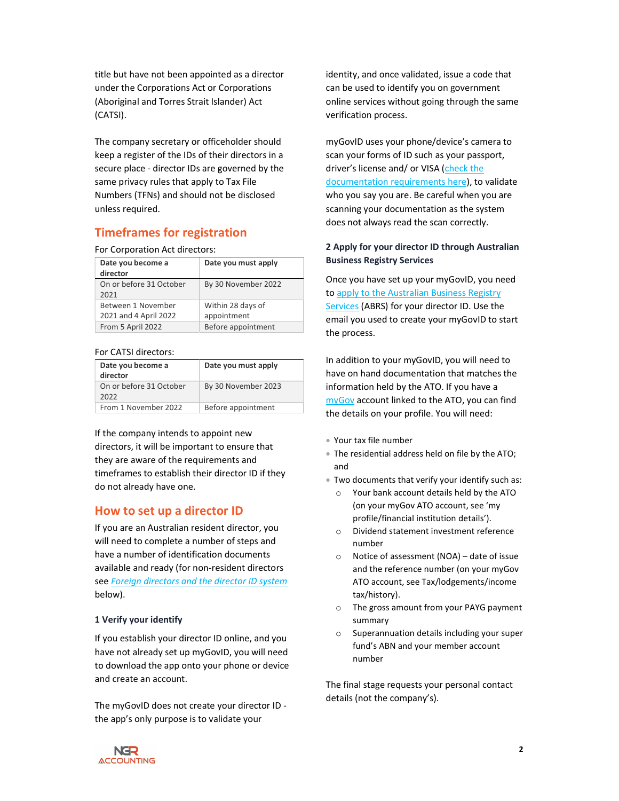title but have not been appointed as a director under the Corporations Act or Corporations (Aboriginal and Torres Strait Islander) Act (CATSI).

The company secretary or officeholder should keep a register of the IDs of their directors in a secure place - director IDs are governed by the same privacy rules that apply to Tax File Numbers (TFNs) and should not be disclosed unless required.

# Timeframes for registration

#### For Corporation Act directors:

| Date you become a       | Date you must apply |
|-------------------------|---------------------|
| director                |                     |
| On or before 31 October | By 30 November 2022 |
| 2021                    |                     |
| Between 1 November      | Within 28 days of   |
| 2021 and 4 April 2022   | appointment         |
| From 5 April 2022       | Before appointment  |

## For CATSI directors:

| Date you become a<br>director   | Date you must apply |
|---------------------------------|---------------------|
| On or before 31 October<br>2022 | By 30 November 2023 |
| From 1 November 2022            | Before appointment  |

If the company intends to appoint new directors, it will be important to ensure that they are aware of the requirements and timeframes to establish their director ID if they do not already have one.

# How to set up a director ID

If you are an Australian resident director, you will need to complete a number of steps and have a number of identification documents available and ready (for non-resident directors see Foreign directors and the director ID system below).

### 1 Verify your identify

If you establish your director ID online, and you have not already set up myGovID, you will need to download the app onto your phone or device and create an account.

The myGovID does not create your director ID the app's only purpose is to validate your

identity, and once validated, issue a code that can be used to identify you on government online services without going through the same verification process.

myGovID uses your phone/device's camera to scan your forms of ID such as your passport, driver's license and/ or VISA (check the documentation requirements here), to validate who you say you are. Be careful when you are scanning your documentation as the system does not always read the scan correctly.

# 2 Apply for your director ID through Australian Business Registry Services

Once you have set up your myGovID, you need to apply to the Australian Business Registry Services (ABRS) for your director ID. Use the email you used to create your myGovID to start the process.

In addition to your myGovID, you will need to have on hand documentation that matches the information held by the ATO. If you have a myGov account linked to the ATO, you can find the details on your profile. You will need:

- Your tax file number
- The residential address held on file by the ATO; and
- Two documents that verify your identify such as:
	- o Your bank account details held by the ATO (on your myGov ATO account, see 'my profile/financial institution details').
	- o Dividend statement investment reference number
	- o Notice of assessment (NOA) date of issue and the reference number (on your myGov ATO account, see Tax/lodgements/income tax/history).
	- o The gross amount from your PAYG payment summary
	- o Superannuation details including your super fund's ABN and your member account number

The final stage requests your personal contact details (not the company's).

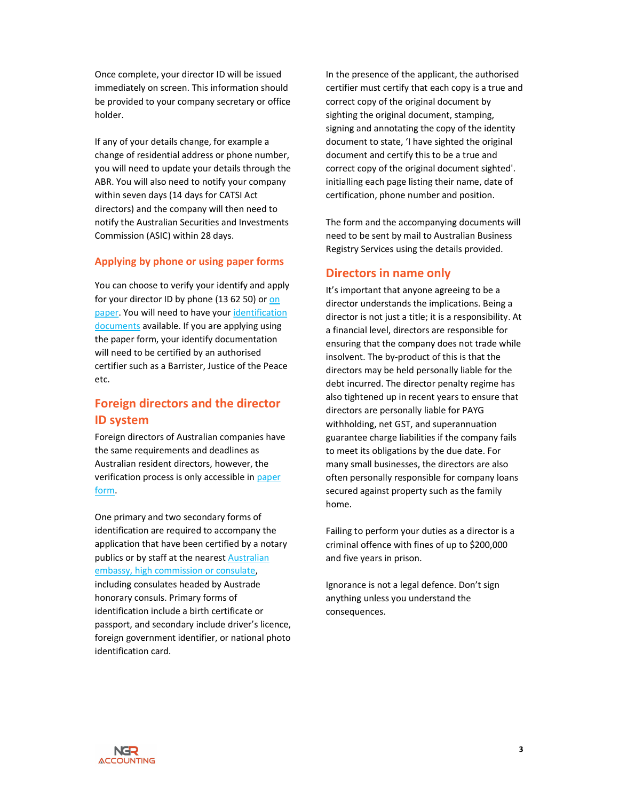Once complete, your director ID will be issued immediately on screen. This information should be provided to your company secretary or office holder.

If any of your details change, for example a change of residential address or phone number, you will need to update your details through the ABR. You will also need to notify your company within seven days (14 days for CATSI Act directors) and the company will then need to notify the Australian Securities and Investments Commission (ASIC) within 28 days.

### Applying by phone or using paper forms

You can choose to verify your identify and apply for your director ID by phone (13 62 50) or on paper. You will need to have your identification documents available. If you are applying using the paper form, your identify documentation will need to be certified by an authorised certifier such as a Barrister, Justice of the Peace etc.

# Foreign directors and the director ID system

Foreign directors of Australian companies have the same requirements and deadlines as Australian resident directors, however, the verification process is only accessible in paper form.

One primary and two secondary forms of identification are required to accompany the application that have been certified by a notary publics or by staff at the nearest Australian embassy, high commission or consulate, including consulates headed by Austrade honorary consuls. Primary forms of identification include a birth certificate or passport, and secondary include driver's licence, foreign government identifier, or national photo identification card.

In the presence of the applicant, the authorised certifier must certify that each copy is a true and correct copy of the original document by sighting the original document, stamping, signing and annotating the copy of the identity document to state, 'I have sighted the original document and certify this to be a true and correct copy of the original document sighted'. initialling each page listing their name, date of certification, phone number and position.

The form and the accompanying documents will need to be sent by mail to Australian Business Registry Services using the details provided.

# Directors in name only

It's important that anyone agreeing to be a director understands the implications. Being a director is not just a title; it is a responsibility. At a financial level, directors are responsible for ensuring that the company does not trade while insolvent. The by-product of this is that the directors may be held personally liable for the debt incurred. The director penalty regime has also tightened up in recent years to ensure that directors are personally liable for PAYG withholding, net GST, and superannuation guarantee charge liabilities if the company fails to meet its obligations by the due date. For many small businesses, the directors are also often personally responsible for company loans secured against property such as the family home.

Failing to perform your duties as a director is a criminal offence with fines of up to \$200,000 and five years in prison.

Ignorance is not a legal defence. Don't sign anything unless you understand the consequences.

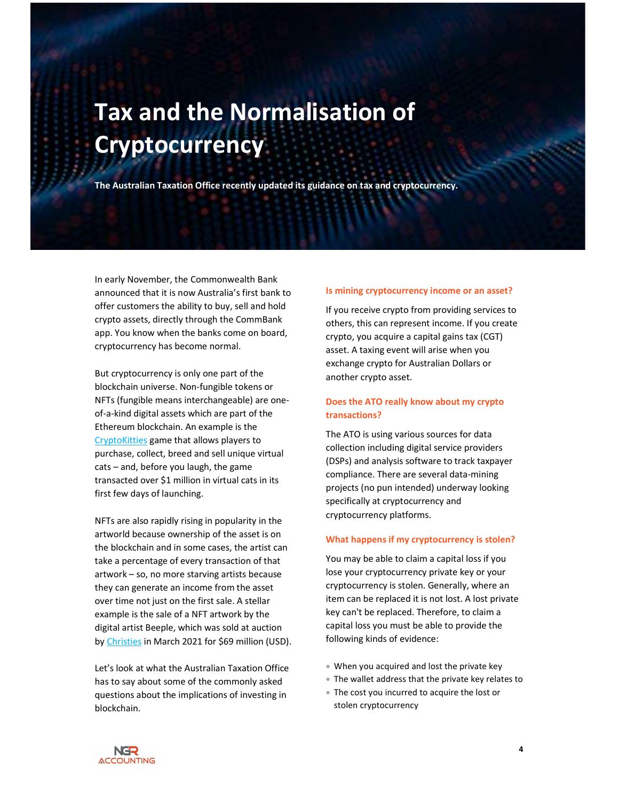# Tax and the Normalisation of **Cryptocurrency**

The Australian Taxation Office recently updated its guidance on tax and cryptocurrency.

In early November, the Commonwealth Bank announced that it is now Australia's first bank to offer customers the ability to buy, sell and hold crypto assets, directly through the CommBank app. You know when the banks come on board, cryptocurrency has become normal.

But cryptocurrency is only one part of the blockchain universe. Non-fungible tokens or NFTs (fungible means interchangeable) are oneof-a-kind digital assets which are part of the Ethereum blockchain. An example is the CryptoKitties game that allows players to purchase, collect, breed and sell unique virtual cats – and, before you laugh, the game transacted over \$1 million in virtual cats in its first few days of launching.

NFTs are also rapidly rising in popularity in the artworld because ownership of the asset is on the blockchain and in some cases, the artist can take a percentage of every transaction of that artwork – so, no more starving artists because they can generate an income from the asset over time not just on the first sale. A stellar example is the sale of a NFT artwork by the digital artist Beeple, which was sold at auction by Christies in March 2021 for \$69 million (USD).

Let's look at what the Australian Taxation Office has to say about some of the commonly asked questions about the implications of investing in blockchain.

#### Is mining cryptocurrency income or an asset?

If you receive crypto from providing services to others, this can represent income. If you create crypto, you acquire a capital gains tax (CGT) asset. A taxing event will arise when you exchange crypto for Australian Dollars or another crypto asset.

# Does the ATO really know about my crypto transactions?

The ATO is using various sources for data collection including digital service providers (DSPs) and analysis software to track taxpayer compliance. There are several data-mining projects (no pun intended) underway looking specifically at cryptocurrency and cryptocurrency platforms.

#### What happens if my cryptocurrency is stolen?

You may be able to claim a capital loss if you lose your cryptocurrency private key or your cryptocurrency is stolen. Generally, where an item can be replaced it is not lost. A lost private key can't be replaced. Therefore, to claim a capital loss you must be able to provide the following kinds of evidence:

- When you acquired and lost the private key
- The wallet address that the private key relates to
- The cost you incurred to acquire the lost or stolen cryptocurrency

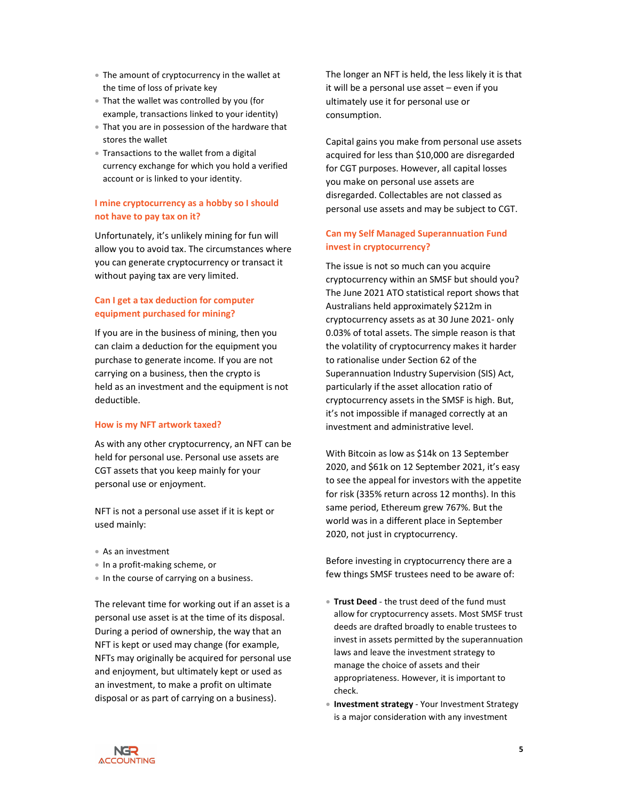- The amount of cryptocurrency in the wallet at the time of loss of private key
- That the wallet was controlled by you (for example, transactions linked to your identity)
- That you are in possession of the hardware that stores the wallet
- Transactions to the wallet from a digital currency exchange for which you hold a verified account or is linked to your identity.

## I mine cryptocurrency as a hobby so I should not have to pay tax on it?

Unfortunately, it's unlikely mining for fun will allow you to avoid tax. The circumstances where you can generate cryptocurrency or transact it without paying tax are very limited.

# Can I get a tax deduction for computer equipment purchased for mining?

If you are in the business of mining, then you can claim a deduction for the equipment you purchase to generate income. If you are not carrying on a business, then the crypto is held as an investment and the equipment is not deductible.

#### How is my NFT artwork taxed?

As with any other cryptocurrency, an NFT can be held for personal use. Personal use assets are CGT assets that you keep mainly for your personal use or enjoyment.

NFT is not a personal use asset if it is kept or used mainly:

- As an investment
- In a profit-making scheme, or
- In the course of carrying on a business.

The relevant time for working out if an asset is a personal use asset is at the time of its disposal. During a period of ownership, the way that an NFT is kept or used may change (for example, NFTs may originally be acquired for personal use and enjoyment, but ultimately kept or used as an investment, to make a profit on ultimate disposal or as part of carrying on a business).

The longer an NFT is held, the less likely it is that it will be a personal use asset – even if you ultimately use it for personal use or consumption.

Capital gains you make from personal use assets acquired for less than \$10,000 are disregarded for CGT purposes. However, all capital losses you make on personal use assets are disregarded. Collectables are not classed as personal use assets and may be subject to CGT.

## Can my Self Managed Superannuation Fund invest in cryptocurrency?

The issue is not so much can you acquire cryptocurrency within an SMSF but should you? The June 2021 ATO statistical report shows that Australians held approximately \$212m in cryptocurrency assets as at 30 June 2021- only 0.03% of total assets. The simple reason is that the volatility of cryptocurrency makes it harder to rationalise under Section 62 of the Superannuation Industry Supervision (SIS) Act, particularly if the asset allocation ratio of cryptocurrency assets in the SMSF is high. But, it's not impossible if managed correctly at an investment and administrative level.

With Bitcoin as low as \$14k on 13 September 2020, and \$61k on 12 September 2021, it's easy to see the appeal for investors with the appetite for risk (335% return across 12 months). In this same period, Ethereum grew 767%. But the world was in a different place in September 2020, not just in cryptocurrency.

Before investing in cryptocurrency there are a few things SMSF trustees need to be aware of:

- **Trust Deed** the trust deed of the fund must allow for cryptocurrency assets. Most SMSF trust deeds are drafted broadly to enable trustees to invest in assets permitted by the superannuation laws and leave the investment strategy to manage the choice of assets and their appropriateness. However, it is important to check.
- Investment strategy Your Investment Strategy is a major consideration with any investment